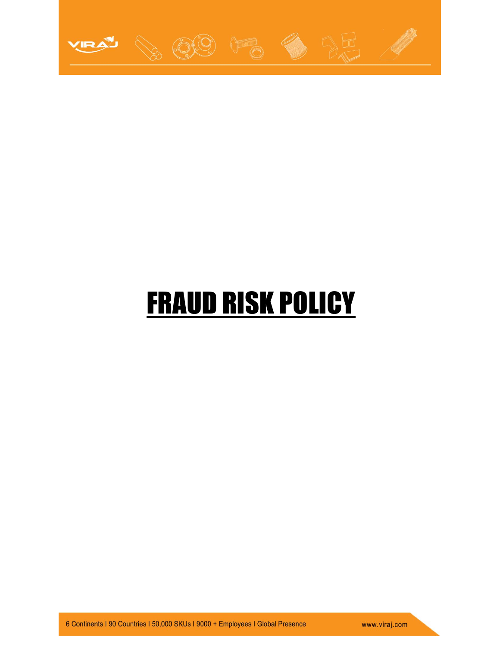

# FRAUD RISK POLICY

6 Continents | 90 Countries | 50,000 SKUs | 9000 + Employees | Global Presence

www.viraj.com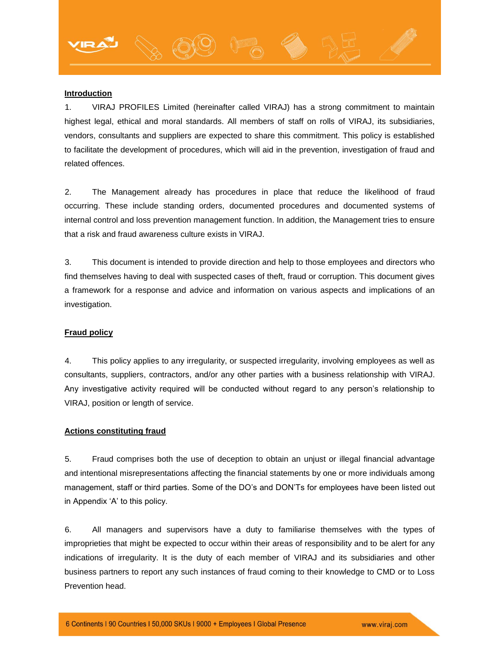#### **Introduction**

1. VIRAJ PROFILES Limited (hereinafter called VIRAJ) has a strong commitment to maintain highest legal, ethical and moral standards. All members of staff on rolls of VIRAJ, its subsidiaries, vendors, consultants and suppliers are expected to share this commitment. This policy is established to facilitate the development of procedures, which will aid in the prevention, investigation of fraud and related offences.

2. The Management already has procedures in place that reduce the likelihood of fraud occurring. These include standing orders, documented procedures and documented systems of internal control and loss prevention management function. In addition, the Management tries to ensure that a risk and fraud awareness culture exists in VIRAJ.

3. This document is intended to provide direction and help to those employees and directors who find themselves having to deal with suspected cases of theft, fraud or corruption. This document gives a framework for a response and advice and information on various aspects and implications of an investigation.

#### **Fraud policy**

4. This policy applies to any irregularity, or suspected irregularity, involving employees as well as consultants, suppliers, contractors, and/or any other parties with a business relationship with VIRAJ. Any investigative activity required will be conducted without regard to any person's relationship to VIRAJ, position or length of service.

## **Actions constituting fraud**

5. Fraud comprises both the use of deception to obtain an unjust or illegal financial advantage and intentional misrepresentations affecting the financial statements by one or more individuals among management, staff or third parties. Some of the DO's and DON'Ts for employees have been listed out in Appendix 'A' to this policy.

6. All managers and supervisors have a duty to familiarise themselves with the types of improprieties that might be expected to occur within their areas of responsibility and to be alert for any indications of irregularity. It is the duty of each member of VIRAJ and its subsidiaries and other business partners to report any such instances of fraud coming to their knowledge to CMD or to Loss Prevention head.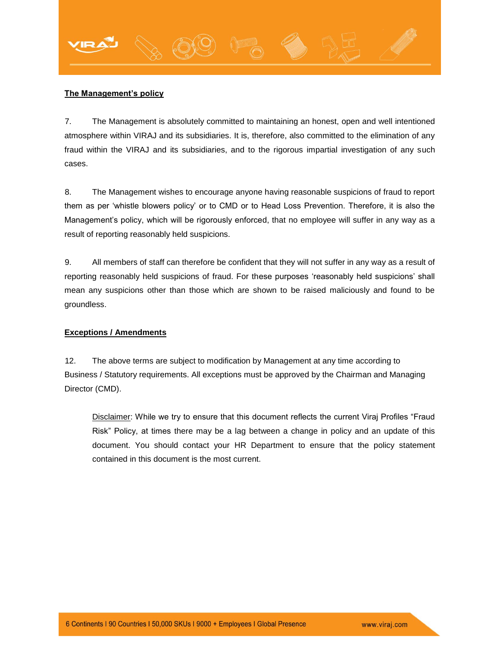## **The Management's policy**

7. The Management is absolutely committed to maintaining an honest, open and well intentioned atmosphere within VIRAJ and its subsidiaries. It is, therefore, also committed to the elimination of any fraud within the VIRAJ and its subsidiaries, and to the rigorous impartial investigation of any such cases.

8. The Management wishes to encourage anyone having reasonable suspicions of fraud to report them as per 'whistle blowers policy' or to CMD or to Head Loss Prevention. Therefore, it is also the Management's policy, which will be rigorously enforced, that no employee will suffer in any way as a result of reporting reasonably held suspicions.

9. All members of staff can therefore be confident that they will not suffer in any way as a result of reporting reasonably held suspicions of fraud. For these purposes 'reasonably held suspicions' shall mean any suspicions other than those which are shown to be raised maliciously and found to be groundless.

### **Exceptions / Amendments**

12. The above terms are subject to modification by Management at any time according to Business / Statutory requirements. All exceptions must be approved by the Chairman and Managing Director (CMD).

Disclaimer: While we try to ensure that this document reflects the current Viraj Profiles "Fraud Risk" Policy, at times there may be a lag between a change in policy and an update of this document. You should contact your HR Department to ensure that the policy statement contained in this document is the most current.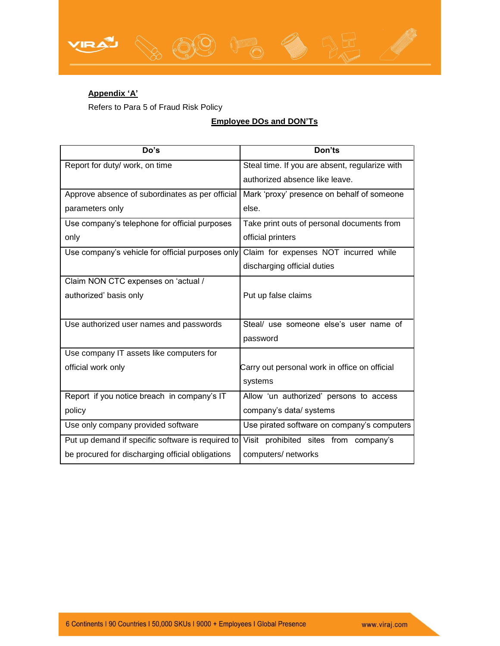

Refers to Para 5 of Fraud Risk Policy

## **Employee DOs and DON'Ts**

| Do's                                              | Don'ts                                         |
|---------------------------------------------------|------------------------------------------------|
| Report for duty/ work, on time                    | Steal time. If you are absent, regularize with |
|                                                   | authorized absence like leave.                 |
| Approve absence of subordinates as per official   | Mark 'proxy' presence on behalf of someone     |
| parameters only                                   | else.                                          |
| Use company's telephone for official purposes     | Take print outs of personal documents from     |
| only                                              | official printers                              |
| Use company's vehicle for official purposes only  | Claim for expenses NOT incurred while          |
|                                                   | discharging official duties                    |
| Claim NON CTC expenses on 'actual /               |                                                |
| authorized' basis only                            | Put up false claims                            |
|                                                   |                                                |
| Use authorized user names and passwords           | Steal/ use someone else's user name of         |
|                                                   | password                                       |
| Use company IT assets like computers for          |                                                |
| official work only                                | Carry out personal work in office on official  |
|                                                   | systems                                        |
| Report if you notice breach in company's IT       | Allow 'un authorized' persons to access        |
| policy                                            | company's data/ systems                        |
| Use only company provided software                | Use pirated software on company's computers    |
| Put up demand if specific software is required to | Visit prohibited sites from company's          |
| be procured for discharging official obligations  | computers/ networks                            |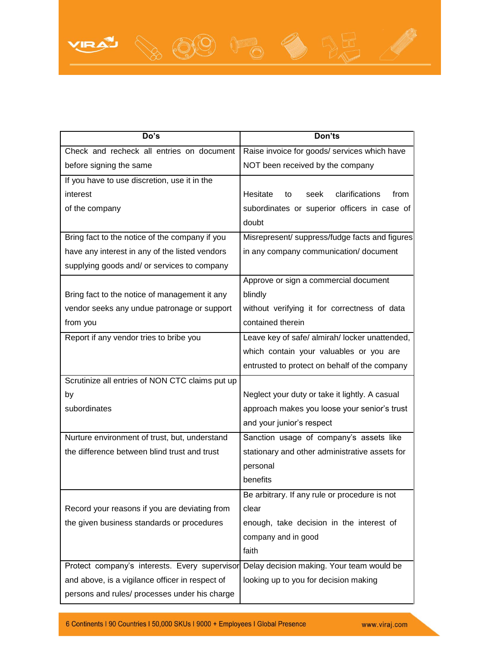

6 Continents I 90 Countries I 50,000 SKUs I 9000 + Employees I Global Presence

www.viraj.com